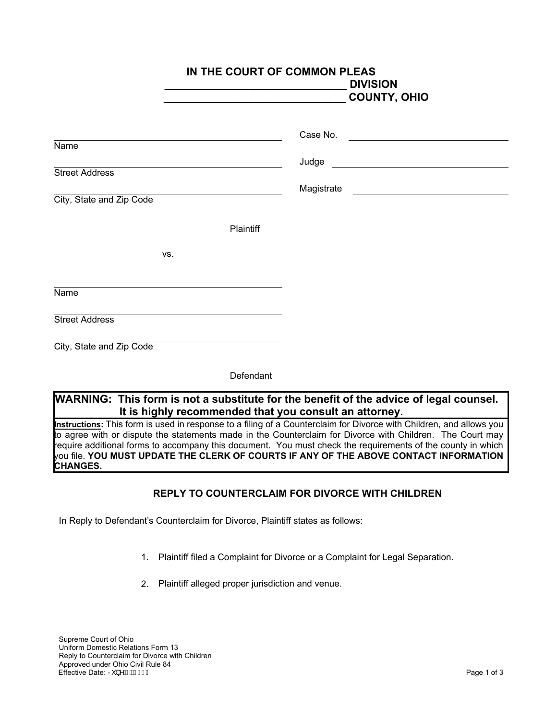|                          | IN THE COURT OF COMMON PLEAS<br><b>DIVISION</b><br><b>COUNTY, OHIO</b> |
|--------------------------|------------------------------------------------------------------------|
| Name                     |                                                                        |
|                          |                                                                        |
| <b>Street Address</b>    |                                                                        |
| City, State and Zip Code |                                                                        |
| Plaintiff                |                                                                        |
| VS.                      |                                                                        |
| Name                     |                                                                        |
| <b>Street Address</b>    |                                                                        |
| City, State and Zip Code |                                                                        |
| Defendant                |                                                                        |

## **WARNING: This form is not a substitute for the benefit of the advice of legal counsel. It is highly recommended that you consult an attorney.**

**Instructions:** This form is used in response to a filing of a Counterclaim for Divorce with Children, and allows you to agree with or dispute the statements made in the Counterclaim for Divorce with Children. The Court may<br>require additional forms to accompany this document. You must check the requirements of the county in which require additional forms to accompany this document. You must check the requirements of the county in which you file. **YOU MUST UPDATE THE CLERK OF COURTS IF ANY OF THE ABOVE CONTACT INFORMATION CHANGES.**

## **REPLY TO COUNTERCLAIM FOR DIVORCE WITH CHILDREN**

In Reply to Defendant's Counterclaim for Divorce, Plaintiff states as follows:

- 1. Plaintiff filed a Complaint for Divorce or a Complaint for Legal Separation.
- 2. Plaintiff alleged proper jurisdiction and venue.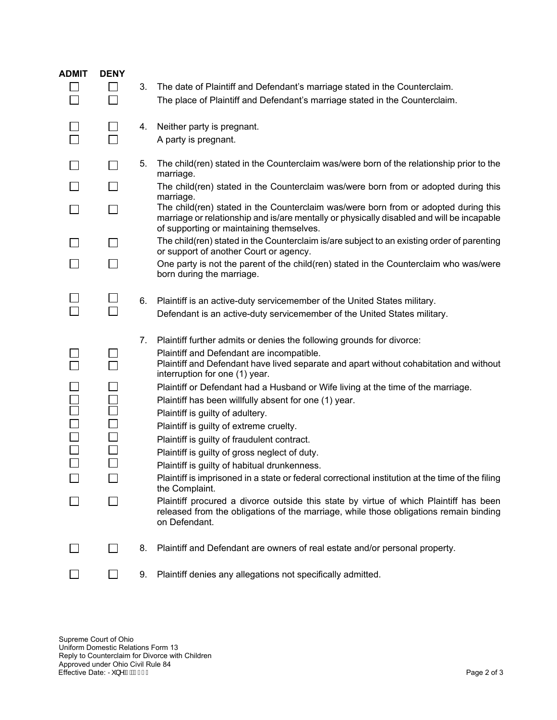| <b>ADMIT</b> | <b>DENY</b>  |    |                                                                                                                                                                                                                                                                                                                                                                                                                                                                                                                                                                                                                                                                                                                                                                                                                                                                                                                                                     |
|--------------|--------------|----|-----------------------------------------------------------------------------------------------------------------------------------------------------------------------------------------------------------------------------------------------------------------------------------------------------------------------------------------------------------------------------------------------------------------------------------------------------------------------------------------------------------------------------------------------------------------------------------------------------------------------------------------------------------------------------------------------------------------------------------------------------------------------------------------------------------------------------------------------------------------------------------------------------------------------------------------------------|
|              | $\mathsf{L}$ | 3. | The date of Plaintiff and Defendant's marriage stated in the Counterclaim.                                                                                                                                                                                                                                                                                                                                                                                                                                                                                                                                                                                                                                                                                                                                                                                                                                                                          |
|              | $\Box$       |    | The place of Plaintiff and Defendant's marriage stated in the Counterclaim.                                                                                                                                                                                                                                                                                                                                                                                                                                                                                                                                                                                                                                                                                                                                                                                                                                                                         |
|              |              |    |                                                                                                                                                                                                                                                                                                                                                                                                                                                                                                                                                                                                                                                                                                                                                                                                                                                                                                                                                     |
|              | $\mathsf{L}$ | 4. | Neither party is pregnant.                                                                                                                                                                                                                                                                                                                                                                                                                                                                                                                                                                                                                                                                                                                                                                                                                                                                                                                          |
|              |              |    | A party is pregnant.                                                                                                                                                                                                                                                                                                                                                                                                                                                                                                                                                                                                                                                                                                                                                                                                                                                                                                                                |
|              |              |    |                                                                                                                                                                                                                                                                                                                                                                                                                                                                                                                                                                                                                                                                                                                                                                                                                                                                                                                                                     |
|              |              | 5. | The child(ren) stated in the Counterclaim was/were born of the relationship prior to the<br>marriage.                                                                                                                                                                                                                                                                                                                                                                                                                                                                                                                                                                                                                                                                                                                                                                                                                                               |
|              |              |    | The child(ren) stated in the Counterclaim was/were born from or adopted during this<br>marriage.                                                                                                                                                                                                                                                                                                                                                                                                                                                                                                                                                                                                                                                                                                                                                                                                                                                    |
|              |              |    | The child(ren) stated in the Counterclaim was/were born from or adopted during this<br>marriage or relationship and is/are mentally or physically disabled and will be incapable<br>of supporting or maintaining themselves.                                                                                                                                                                                                                                                                                                                                                                                                                                                                                                                                                                                                                                                                                                                        |
|              |              |    | The child(ren) stated in the Counterclaim is/are subject to an existing order of parenting<br>or support of another Court or agency.                                                                                                                                                                                                                                                                                                                                                                                                                                                                                                                                                                                                                                                                                                                                                                                                                |
|              |              |    | One party is not the parent of the child(ren) stated in the Counterclaim who was/were<br>born during the marriage.                                                                                                                                                                                                                                                                                                                                                                                                                                                                                                                                                                                                                                                                                                                                                                                                                                  |
|              |              | 6. | Plaintiff is an active-duty servicemember of the United States military.                                                                                                                                                                                                                                                                                                                                                                                                                                                                                                                                                                                                                                                                                                                                                                                                                                                                            |
|              |              |    | Defendant is an active-duty servicemember of the United States military.                                                                                                                                                                                                                                                                                                                                                                                                                                                                                                                                                                                                                                                                                                                                                                                                                                                                            |
| 0000         |              | 7. | Plaintiff further admits or denies the following grounds for divorce:<br>Plaintiff and Defendant are incompatible.<br>Plaintiff and Defendant have lived separate and apart without cohabitation and without<br>interruption for one (1) year.<br>Plaintiff or Defendant had a Husband or Wife living at the time of the marriage.<br>Plaintiff has been willfully absent for one (1) year.<br>Plaintiff is guilty of adultery.<br>Plaintiff is guilty of extreme cruelty.<br>Plaintiff is guilty of fraudulent contract.<br>Plaintiff is guilty of gross neglect of duty.<br>Plaintiff is guilty of habitual drunkenness.<br>Plaintiff is imprisoned in a state or federal correctional institution at the time of the filing<br>the Complaint.<br>Plaintiff procured a divorce outside this state by virtue of which Plaintiff has been<br>released from the obligations of the marriage, while those obligations remain binding<br>on Defendant. |
|              |              | 8. | Plaintiff and Defendant are owners of real estate and/or personal property.                                                                                                                                                                                                                                                                                                                                                                                                                                                                                                                                                                                                                                                                                                                                                                                                                                                                         |
|              |              | 9. | Plaintiff denies any allegations not specifically admitted.                                                                                                                                                                                                                                                                                                                                                                                                                                                                                                                                                                                                                                                                                                                                                                                                                                                                                         |